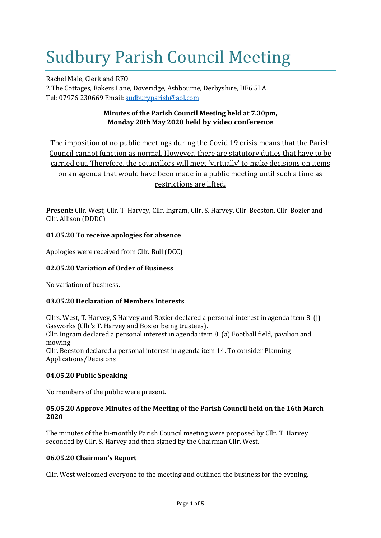# Sudbury Parish Council Meeting

Rachel Male, Clerk and RFO 2 The Cottages, Bakers Lane, Doveridge, Ashbourne, Derbyshire, DE6 5LA Tel: 07976 230669 Email: [sudburyparish@aol.com](mailto:sudburyparish@aol.com)

# **Minutes of the Parish Council Meeting held at 7.30pm, Monday 20th May 2020 held by video conference**

The imposition of no public meetings during the Covid 19 crisis means that the Parish Council cannot function as normal. However, there are statutory duties that have to be carried out. Therefore, the councillors will meet 'virtually' to make decisions on items on an agenda that would have been made in a public meeting until such a time as restrictions are lifted.

**Present:** Cllr. West, Cllr. T. Harvey, Cllr. Ingram, Cllr. S. Harvey, Cllr. Beeston, Cllr. Bozier and Cllr. Allison (DDDC)

# **01.05.20 To receive apologies for absence**

Apologies were received from Cllr. Bull (DCC).

# **02.05.20 Variation of Order of Business**

No variation of business.

# **03.05.20 Declaration of Members Interests**

Cllrs. West, T. Harvey, S Harvey and Bozier declared a personal interest in agenda item 8. (j) Gasworks (Cllr's T. Harvey and Bozier being trustees).

Cllr. Ingram declared a personal interest in agenda item 8. (a) Football field, pavilion and mowing.

Cllr. Beeston declared a personal interest in agenda item 14. To consider Planning Applications/Decisions

# **04.05.20 Public Speaking**

No members of the public were present.

# **05.05.20 Approve Minutes of the Meeting of the Parish Council held on the 16th March 2020**

The minutes of the bi-monthly Parish Council meeting were proposed by Cllr. T. Harvey seconded by Cllr. S. Harvey and then signed by the Chairman Cllr. West.

# **06.05.20 Chairman's Report**

Cllr. West welcomed everyone to the meeting and outlined the business for the evening.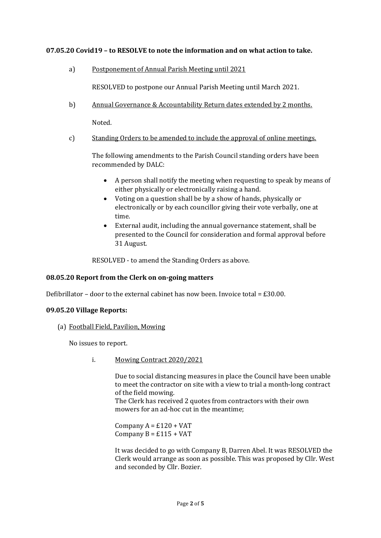# **07.05.20 Covid19 – to RESOLVE to note the information and on what action to take.**

a) Postponement of Annual Parish Meeting until 2021

RESOLVED to postpone our Annual Parish Meeting until March 2021.

b) Annual Governance & Accountability Return dates extended by 2 months.

Noted.

c) Standing Orders to be amended to include the approval of online meetings.

The following amendments to the Parish Council standing orders have been recommended by DALC:

- A person shall notify the meeting when requesting to speak by means of either physically or electronically raising a hand.
- Voting on a question shall be by a show of hands, physically or electronically or by each councillor giving their vote verbally, one at time.
- External audit, including the annual governance statement, shall be presented to the Council for consideration and formal approval before 31 August.

RESOLVED - to amend the Standing Orders as above.

# **08.05.20 Report from the Clerk on on-going matters**

Defibrillator – door to the external cabinet has now been. Invoice total =  $£30.00$ .

# **09.05.20 Village Reports:**

(a) Football Field, Pavilion, Mowing

No issues to report.

i. Mowing Contract 2020/2021

Due to social distancing measures in place the Council have been unable to meet the contractor on site with a view to trial a month-long contract of the field mowing.

The Clerk has received 2 quotes from contractors with their own mowers for an ad-hoc cut in the meantime;

Company  $A = £120 + VAT$ Company  $B = \pounds 115 + VAT$ 

It was decided to go with Company B, Darren Abel. It was RESOLVED the Clerk would arrange as soon as possible. This was proposed by Cllr. West and seconded by Cllr. Bozier.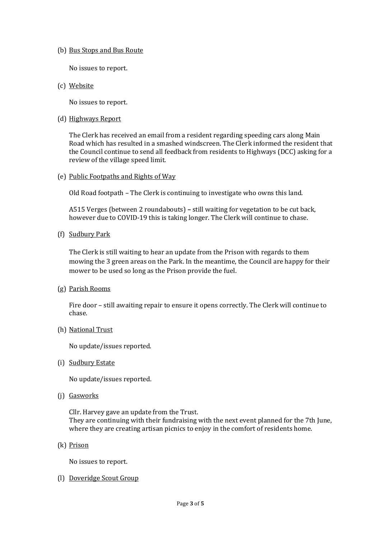#### (b) Bus Stops and Bus Route

No issues to report.

(c) Website

No issues to report.

#### (d) Highways Report

The Clerk has received an email from a resident regarding speeding cars along Main Road which has resulted in a smashed windscreen. The Clerk informed the resident that the Council continue to send all feedback from residents to Highways (DCC) asking for a review of the village speed limit.

(e) Public Footpaths and Rights of Way

Old Road footpath – The Clerk is continuing to investigate who owns this land.

A515 Verges (between 2 roundabouts) **–** still waiting for vegetation to be cut back, however due to COVID-19 this is taking longer. The Clerk will continue to chase.

(f) Sudbury Park

The Clerk is still waiting to hear an update from the Prison with regards to them mowing the 3 green areas on the Park. In the meantime, the Council are happy for their mower to be used so long as the Prison provide the fuel.

(g) Parish Rooms

Fire door – still awaiting repair to ensure it opens correctly. The Clerk will continue to chase.

(h) National Trust

No update/issues reported.

(i) Sudbury Estate

No update/issues reported.

(j) Gasworks

Cllr. Harvey gave an update from the Trust. They are continuing with their fundraising with the next event planned for the 7th June, where they are creating artisan picnics to enjoy in the comfort of residents home.

(k) Prison

No issues to report.

(l) Doveridge Scout Group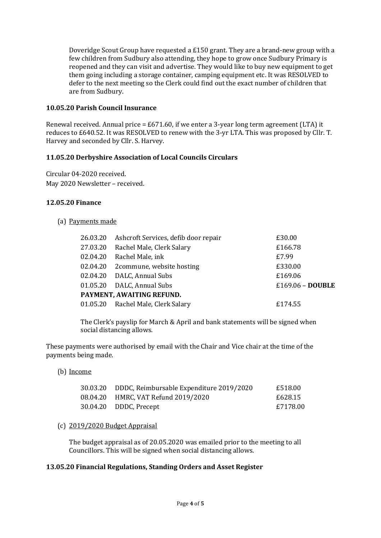Doveridge Scout Group have requested a £150 grant. They are a brand-new group with a few children from Sudbury also attending, they hope to grow once Sudbury Primary is reopened and they can visit and advertise. They would like to buy new equipment to get them going including a storage container, camping equipment etc. It was RESOLVED to defer to the next meeting so the Clerk could find out the exact number of children that are from Sudbury.

# **10.05.20 Parish Council Insurance**

Renewal received. Annual price = £671.60, if we enter a 3-year long term agreement (LTA) it reduces to £640.52. It was RESOLVED to renew with the 3-yr LTA. This was proposed by Cllr. T. Harvey and seconded by Cllr. S. Harvey.

# **11.05.20 Derbyshire Association of Local Councils Circulars**

Circular 04-2020 received. May 2020 Newsletter – received.

# **12.05.20 Finance**

# (a) Payments made

| 26.03.20                  | Ashcroft Services, defib door repair | £30.00             |  |  |
|---------------------------|--------------------------------------|--------------------|--|--|
| 27.03.20                  | Rachel Male, Clerk Salary            | £166.78            |  |  |
| 02.04.20                  | Rachel Male, ink                     | £7.99              |  |  |
| 02.04.20                  | 2commune, website hosting            | £330.00            |  |  |
|                           | 02.04.20 DALC, Annual Subs           | £169.06            |  |  |
|                           | 01.05.20 DALC, Annual Subs           | $£169.06 - DOUBLE$ |  |  |
| PAYMENT, AWAITING REFUND. |                                      |                    |  |  |
|                           | 01.05.20 Rachel Male, Clerk Salary   | £174.55            |  |  |
|                           |                                      |                    |  |  |

The Clerk's payslip for March & April and bank statements will be signed when social distancing allows.

These payments were authorised by email with the Chair and Vice chair at the time of the payments being made.

# (b) Income

| 30.03.20 DDDC, Reimbursable Expenditure 2019/2020 | £518.00  |
|---------------------------------------------------|----------|
| 08.04.20 HMRC, VAT Refund 2019/2020               | £628.15  |
| 30.04.20 DDDC, Precept                            | £7178.00 |

# (c) 2019/2020 Budget Appraisal

The budget appraisal as of 20.05.2020 was emailed prior to the meeting to all Councillors. This will be signed when social distancing allows.

# **13.05.20 Financial Regulations, Standing Orders and Asset Register**